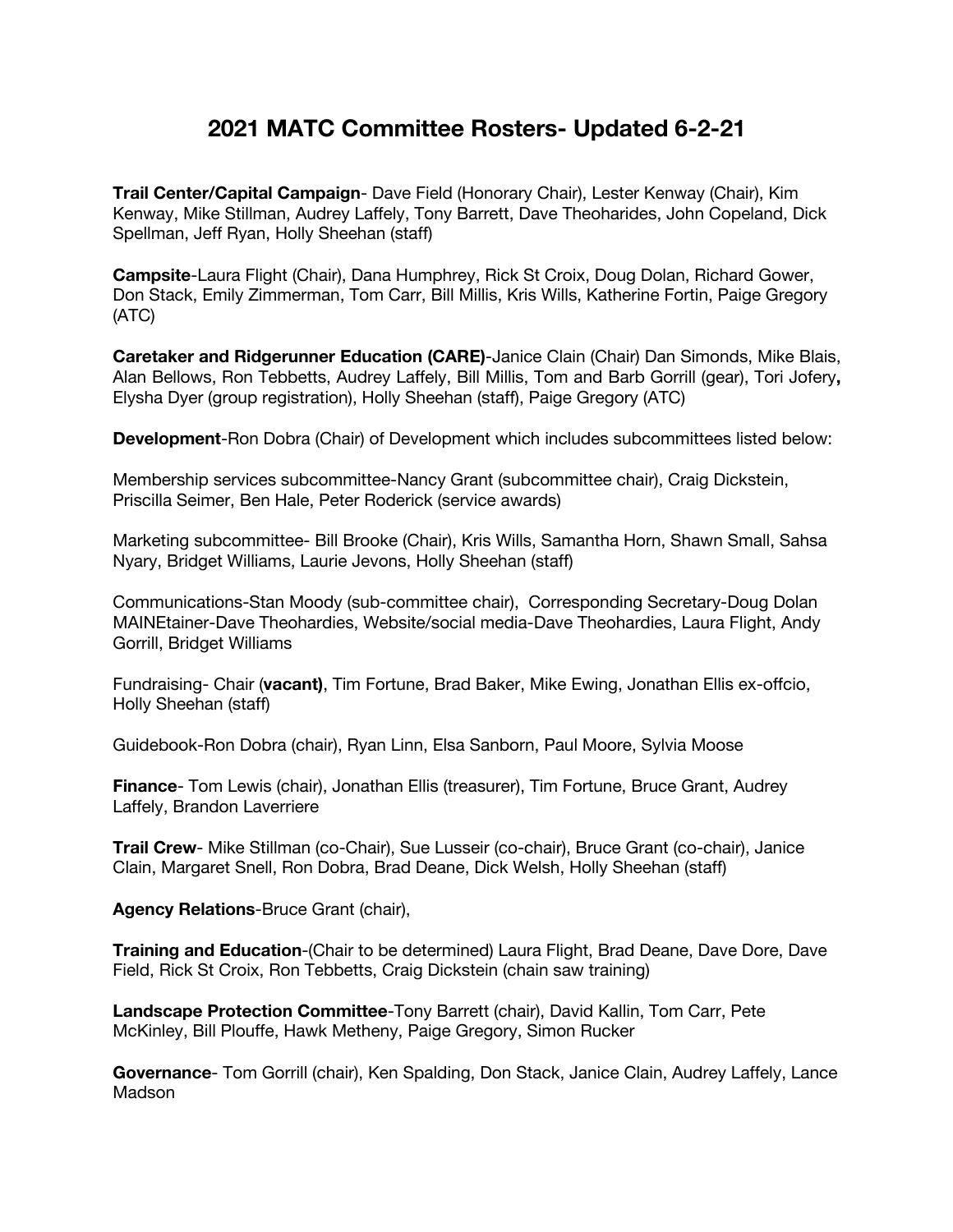## **2021 MATC Committee Rosters- Updated 6-2-21**

**Trail Center/Capital Campaign**- Dave Field (Honorary Chair), Lester Kenway (Chair), Kim Kenway, Mike Stillman, Audrey Laffely, Tony Barrett, Dave Theoharides, John Copeland, Dick Spellman, Jeff Ryan, Holly Sheehan (staff)

**Campsite**-Laura Flight (Chair), Dana Humphrey, Rick St Croix, Doug Dolan, Richard Gower, Don Stack, Emily Zimmerman, Tom Carr, Bill Millis, Kris Wills, Katherine Fortin, Paige Gregory (ATC)

**Caretaker and Ridgerunner Education (CARE)**-Janice Clain (Chair) Dan Simonds, Mike Blais, Alan Bellows, Ron Tebbetts, Audrey Laffely, Bill Millis, Tom and Barb Gorrill (gear), Tori Jofery**,**  Elysha Dyer (group registration), Holly Sheehan (staff), Paige Gregory (ATC)

**Development**-Ron Dobra (Chair) of Development which includes subcommittees listed below:

Membership services subcommittee-Nancy Grant (subcommittee chair), Craig Dickstein, Priscilla Seimer, Ben Hale, Peter Roderick (service awards)

Marketing subcommittee- Bill Brooke (Chair), Kris Wills, Samantha Horn, Shawn Small, Sahsa Nyary, Bridget Williams, Laurie Jevons, Holly Sheehan (staff)

Communications-Stan Moody (sub-committee chair), Corresponding Secretary-Doug Dolan MAINEtainer-Dave Theohardies, Website/social media-Dave Theohardies, Laura Flight, Andy Gorrill, Bridget Williams

Fundraising- Chair (**vacant)**, Tim Fortune, Brad Baker, Mike Ewing, Jonathan Ellis ex-offcio, Holly Sheehan (staff)

Guidebook-Ron Dobra (chair), Ryan Linn, Elsa Sanborn, Paul Moore, Sylvia Moose

**Finance**- Tom Lewis (chair), Jonathan Ellis (treasurer), Tim Fortune, Bruce Grant, Audrey Laffely, Brandon Laverriere

**Trail Crew**- Mike Stillman (co-Chair), Sue Lusseir (co-chair), Bruce Grant (co-chair), Janice Clain, Margaret Snell, Ron Dobra, Brad Deane, Dick Welsh, Holly Sheehan (staff)

**Agency Relations**-Bruce Grant (chair),

**Training and Education**-(Chair to be determined) Laura Flight, Brad Deane, Dave Dore, Dave Field, Rick St Croix, Ron Tebbetts, Craig Dickstein (chain saw training)

**Landscape Protection Committee**-Tony Barrett (chair), David Kallin, Tom Carr, Pete McKinley, Bill Plouffe, Hawk Metheny, Paige Gregory, Simon Rucker

**Governance**- Tom Gorrill (chair), Ken Spalding, Don Stack, Janice Clain, Audrey Laffely, Lance Madson